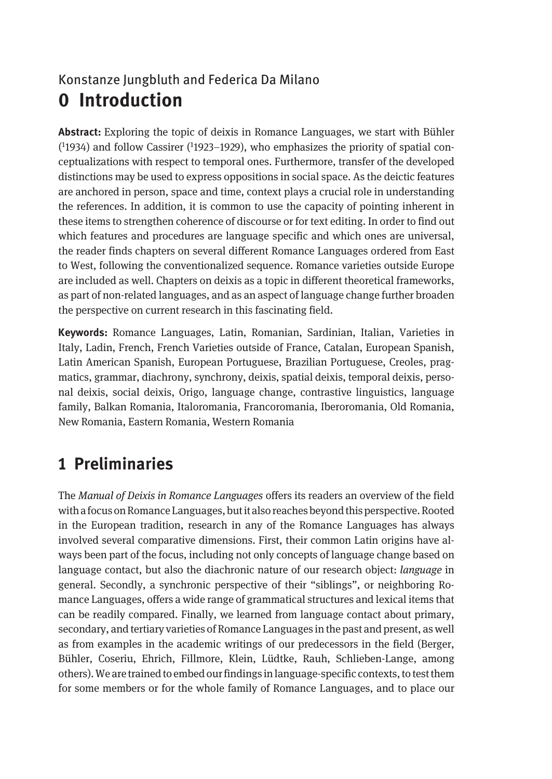# Konstanze Jungbluth and Federica Da Milano 0 Introduction

Abstract: Exploring the topic of deixis in Romance Languages, we start with Bühler  $($ <sup>1</sup>1934) and follow Cassirer  $($ <sup>1</sup>1923–1929), who emphasizes the priority of spatial conceptualizations with respect to temporal ones. Furthermore, transfer of the developed distinctions may be used to express oppositions in social space. As the deictic features are anchored in person, space and time, context plays a crucial role in understanding the references. In addition, it is common to use the capacity of pointing inherent in these items to strengthen coherence of discourse or for text editing. In order to find out which features and procedures are language specific and which ones are universal, the reader finds chapters on several different Romance Languages ordered from East to West, following the conventionalized sequence. Romance varieties outside Europe are included as well. Chapters on deixis as a topic in different theoretical frameworks, as part of non-related languages, and as an aspect of language change further broaden the perspective on current research in this fascinating field.

Keywords: Romance Languages, Latin, Romanian, Sardinian, Italian, Varieties in Italy, Ladin, French, French Varieties outside of France, Catalan, European Spanish, Latin American Spanish, European Portuguese, Brazilian Portuguese, Creoles, pragmatics, grammar, diachrony, synchrony, deixis, spatial deixis, temporal deixis, personal deixis, social deixis, Origo, language change, contrastive linguistics, language family, Balkan Romania, Italoromania, Francoromania, Iberoromania, Old Romania, New Romania, Eastern Romania, Western Romania

# 1 Preliminaries

The Manual of Deixis in Romance Languages offers its readers an overview of the field with a focus on Romance Languages, butit also reaches beyond this perspective. Rooted in the European tradition, research in any of the Romance Languages has always involved several comparative dimensions. First, their common Latin origins have always been part of the focus, including not only concepts of language change based on language contact, but also the diachronic nature of our research object: language in general. Secondly, a synchronic perspective of their "siblings", or neighboring Romance Languages, offers a wide range of grammatical structures and lexical items that can be readily compared. Finally, we learned from language contact about primary, secondary, and tertiary varieties of Romance Languages in the past and present, as well as from examples in the academic writings of our predecessors in the field (Berger, Bühler, Coseriu, Ehrich, Fillmore, Klein, Lüdtke, Rauh, Schlieben-Lange, among others).We are trained to embed our findings in language-specific contexts, to test them for some members or for the whole family of Romance Languages, and to place our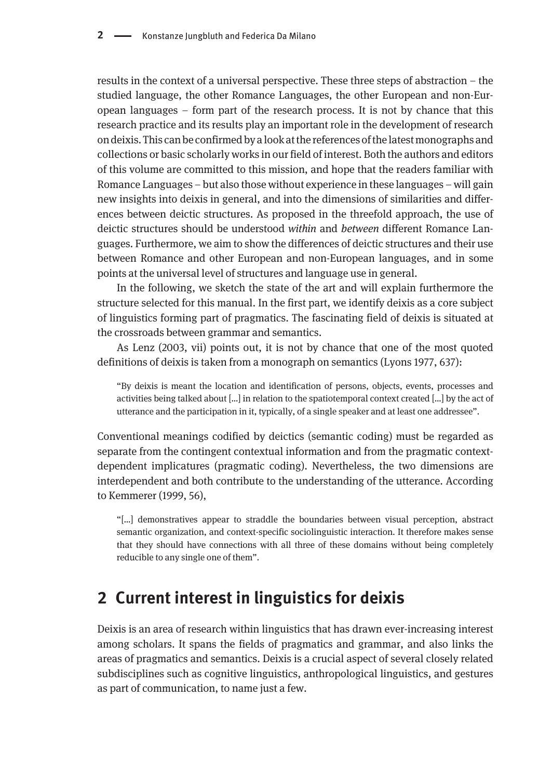results in the context of a universal perspective. These three steps of abstraction – the studied language, the other Romance Languages, the other European and non-European languages – form part of the research process. It is not by chance that this research practice and its results play an important role in the development of research on deixis. This can be confirmed by alook at the references of thelatest monographs and collections or basic scholarly works in our field of interest. Both the authors and editors of this volume are committed to this mission, and hope that the readers familiar with Romance Languages – but also those without experience in these languages – will gain new insights into deixis in general, and into the dimensions of similarities and differences between deictic structures. As proposed in the threefold approach, the use of deictic structures should be understood within and between different Romance Languages. Furthermore, we aim to show the differences of deictic structures and their use between Romance and other European and non-European languages, and in some points at the universal level of structures and language use in general.

In the following, we sketch the state of the art and will explain furthermore the structure selected for this manual. In the first part, we identify deixis as a core subject of linguistics forming part of pragmatics. The fascinating field of deixis is situated at the crossroads between grammar and semantics.

As Lenz (2003, vii) points out, it is not by chance that one of the most quoted definitions of deixis is taken from a monograph on semantics (Lyons 1977, 637):

"By deixis is meant the location and identification of persons, objects, events, processes and activities being talked about […] in relation to the spatiotemporal context created […] by the act of utterance and the participation in it, typically, of a single speaker and at least one addressee".

Conventional meanings codified by deictics (semantic coding) must be regarded as separate from the contingent contextual information and from the pragmatic contextdependent implicatures (pragmatic coding). Nevertheless, the two dimensions are interdependent and both contribute to the understanding of the utterance. According to Kemmerer (1999, 56),

"[…] demonstratives appear to straddle the boundaries between visual perception, abstract semantic organization, and context-specific sociolinguistic interaction. It therefore makes sense that they should have connections with all three of these domains without being completely reducible to any single one of them".

### 2 Current interest in linguistics for deixis

Deixis is an area of research within linguistics that has drawn ever-increasing interest among scholars. It spans the fields of pragmatics and grammar, and also links the areas of pragmatics and semantics. Deixis is a crucial aspect of several closely related subdisciplines such as cognitive linguistics, anthropological linguistics, and gestures as part of communication, to name just a few.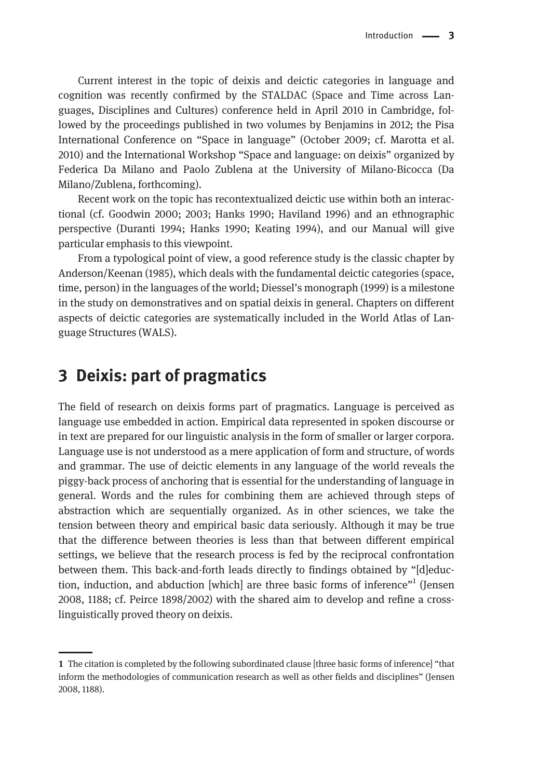Current interest in the topic of deixis and deictic categories in language and cognition was recently confirmed by the STALDAC (Space and Time across Languages, Disciplines and Cultures) conference held in April 2010 in Cambridge, followed by the proceedings published in two volumes by Benjamins in 2012; the Pisa International Conference on "Space in language" (October 2009; cf. Marotta et al. 2010) and the International Workshop "Space and language: on deixis" organized by Federica Da Milano and Paolo Zublena at the University of Milano-Bicocca (Da Milano/Zublena, forthcoming).

Recent work on the topic has recontextualized deictic use within both an interactional (cf. Goodwin 2000; 2003; Hanks 1990; Haviland 1996) and an ethnographic perspective (Duranti 1994; Hanks 1990; Keating 1994), and our Manual will give particular emphasis to this viewpoint.

From a typological point of view, a good reference study is the classic chapter by Anderson/Keenan (1985), which deals with the fundamental deictic categories (space, time, person) in the languages of the world; Diessel's monograph (1999) is a milestone in the study on demonstratives and on spatial deixis in general. Chapters on different aspects of deictic categories are systematically included in the World Atlas of Language Structures (WALS).

#### 3 Deixis: part of pragmatics

The field of research on deixis forms part of pragmatics. Language is perceived as language use embedded in action. Empirical data represented in spoken discourse or in text are prepared for our linguistic analysis in the form of smaller or larger corpora. Language use is not understood as a mere application of form and structure, of words and grammar. The use of deictic elements in any language of the world reveals the piggy-back process of anchoring that is essential for the understanding of language in general. Words and the rules for combining them are achieved through steps of abstraction which are sequentially organized. As in other sciences, we take the tension between theory and empirical basic data seriously. Although it may be true that the difference between theories is less than that between different empirical settings, we believe that the research process is fed by the reciprocal confrontation between them. This back-and-forth leads directly to findings obtained by "[d]eduction, induction, and abduction [which] are three basic forms of inference"<sup>1</sup> (Jensen 2008, 1188; cf. Peirce 1898/2002) with the shared aim to develop and refine a crosslinguistically proved theory on deixis.

<sup>1</sup> The citation is completed by the following subordinated clause [three basic forms of inference] "that inform the methodologies of communication research as well as other fields and disciplines" (Jensen 2008, 1188).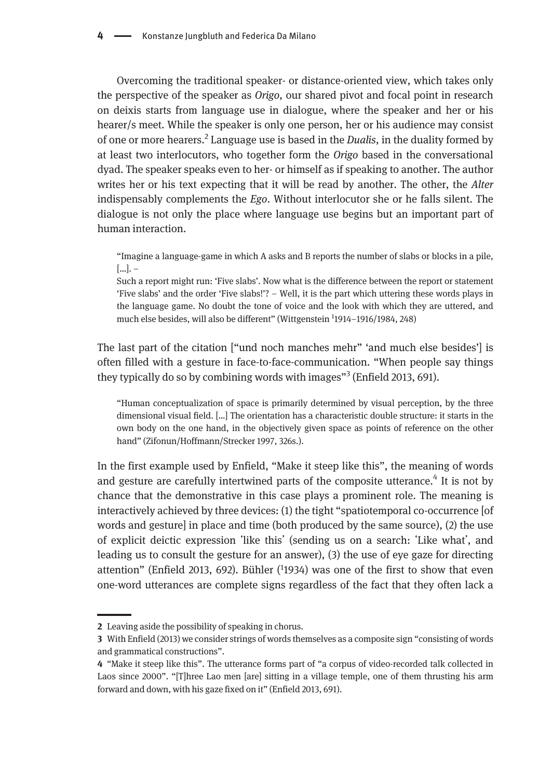Overcoming the traditional speaker- or distance-oriented view, which takes only the perspective of the speaker as *Origo*, our shared pivot and focal point in research on deixis starts from language use in dialogue, where the speaker and her or his hearer/s meet. While the speaker is only one person, her or his audience may consist of one or more hearers.<sup>2</sup> Language use is based in the *Dualis*, in the duality formed by at least two interlocutors, who together form the Origo based in the conversational dyad. The speaker speaks even to her- or himself as if speaking to another. The author writes her or his text expecting that it will be read by another. The other, the *Alter* indispensably complements the Ego. Without interlocutor she or he falls silent. The dialogue is not only the place where language use begins but an important part of human interaction.

"Imagine a language-game in which A asks and B reports the number of slabs or blocks in a pile,  $[...] =$ 

Such a report might run: 'Five slabs'. Now what is the difference between the report or statement 'Five slabs' and the order 'Five slabs!'? – Well, it is the part which uttering these words plays in the language game. No doubt the tone of voice and the look with which they are uttered, and much else besides, will also be different" (Wittgenstein <sup>1</sup>1914–1916/1984, 248)

The last part of the citation ["und noch manches mehr" 'and much else besides'] is often filled with a gesture in face-to-face-communication. "When people say things they typically do so by combining words with images"<sup>3</sup> (Enfield 2013, 691).

"Human conceptualization of space is primarily determined by visual perception, by the three dimensional visual field. […] The orientation has a characteristic double structure: it starts in the own body on the one hand, in the objectively given space as points of reference on the other hand" (Zifonun/Hoffmann/Strecker 1997, 326s.).

In the first example used by Enfield, "Make it steep like this", the meaning of words and gesture are carefully intertwined parts of the composite utterance.<sup>4</sup> It is not by chance that the demonstrative in this case plays a prominent role. The meaning is interactively achieved by three devices: (1) the tight "spatiotemporal co-occurrence [of words and gesture] in place and time (both produced by the same source), (2) the use of explicit deictic expression ʻlike this' (sending us on a search: ʻLike what', and leading us to consult the gesture for an answer), (3) the use of eye gaze for directing attention" (Enfield 2013, 692). Bühler (1934) was one of the first to show that even one-word utterances are complete signs regardless of the fact that they often lack a

<sup>2</sup> Leaving aside the possibility of speaking in chorus.

<sup>3</sup> With Enfield (2013) we consider strings of words themselves as a composite sign "consisting of words and grammatical constructions".

<sup>4</sup> "Make it steep like this". The utterance forms part of "a corpus of video-recorded talk collected in Laos since 2000". "[T]hree Lao men [are] sitting in a village temple, one of them thrusting his arm forward and down, with his gaze fixed on it" (Enfield 2013, 691).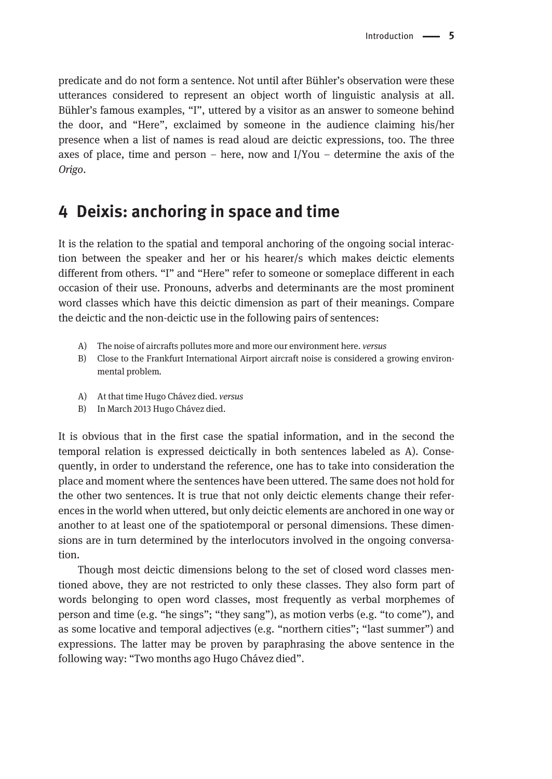predicate and do not form a sentence. Not until after Bühler's observation were these utterances considered to represent an object worth of linguistic analysis at all. Bühler's famous examples, "I", uttered by a visitor as an answer to someone behind the door, and "Here", exclaimed by someone in the audience claiming his/her presence when a list of names is read aloud are deictic expressions, too. The three axes of place, time and person – here, now and  $I/Y$ ou – determine the axis of the Origo.

### 4 Deixis: anchoring in space and time

It is the relation to the spatial and temporal anchoring of the ongoing social interaction between the speaker and her or his hearer/s which makes deictic elements different from others. "I" and "Here" refer to someone or someplace different in each occasion of their use. Pronouns, adverbs and determinants are the most prominent word classes which have this deictic dimension as part of their meanings. Compare the deictic and the non-deictic use in the following pairs of sentences:

- A) The noise of aircrafts pollutes more and more our environment here. versus
- B) Close to the Frankfurt International Airport aircraft noise is considered a growing environmental problem.
- A) At that time Hugo Chávez died. versus
- B) In March 2013 Hugo Chávez died.

It is obvious that in the first case the spatial information, and in the second the temporal relation is expressed deictically in both sentences labeled as A). Consequently, in order to understand the reference, one has to take into consideration the place and moment where the sentences have been uttered. The same does not hold for the other two sentences. It is true that not only deictic elements change their references in the world when uttered, but only deictic elements are anchored in one way or another to at least one of the spatiotemporal or personal dimensions. These dimensions are in turn determined by the interlocutors involved in the ongoing conversation.

Though most deictic dimensions belong to the set of closed word classes mentioned above, they are not restricted to only these classes. They also form part of words belonging to open word classes, most frequently as verbal morphemes of person and time (e.g. "he sings"; "they sang"), as motion verbs (e.g. "to come"), and as some locative and temporal adjectives (e.g. "northern cities"; "last summer") and expressions. The latter may be proven by paraphrasing the above sentence in the following way: "Two months ago Hugo Chávez died".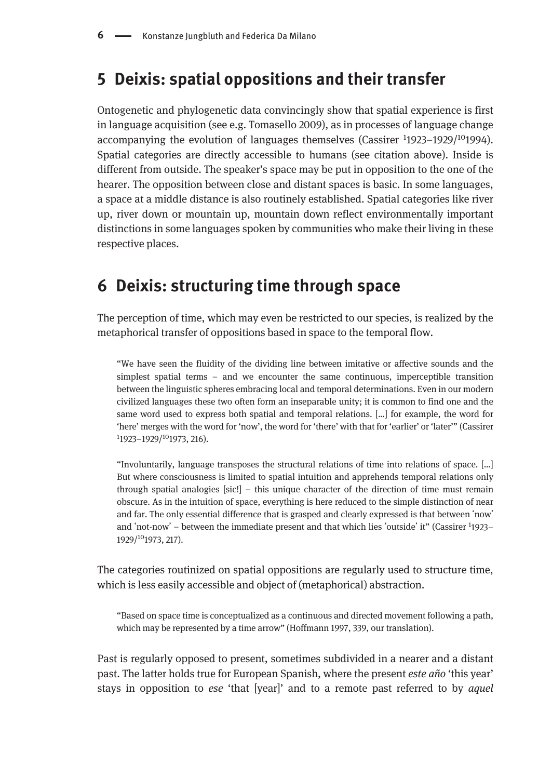## 5 Deixis: spatial oppositions and their transfer

Ontogenetic and phylogenetic data convincingly show that spatial experience is first in language acquisition (see e.g. Tomasello 2009), as in processes of language change accompanying the evolution of languages themselves (Cassirer <sup>1</sup>1923-1929/<sup>10</sup>1994). Spatial categories are directly accessible to humans (see citation above). Inside is different from outside. The speaker's space may be put in opposition to the one of the hearer. The opposition between close and distant spaces is basic. In some languages, a space at a middle distance is also routinely established. Spatial categories like river up, river down or mountain up, mountain down reflect environmentally important distinctions in some languages spoken by communities who make their living in these respective places.

## 6 Deixis: structuring time through space

The perception of time, which may even be restricted to our species, is realized by the metaphorical transfer of oppositions based in space to the temporal flow.

"We have seen the fluidity of the dividing line between imitative or affective sounds and the simplest spatial terms – and we encounter the same continuous, imperceptible transition between the linguistic spheres embracing local and temporal determinations. Even in our modern civilized languages these two often form an inseparable unity; it is common to find one and the same word used to express both spatial and temporal relations. […] for example, the word for 'here' merges with the word for 'now', the word for 'there' with that for 'earlier' or 'later'" (Cassirer <sup>1</sup>1923–1929/<sup>10</sup>1973, 216).

"Involuntarily, language transposes the structural relations of time into relations of space. […] But where consciousness is limited to spatial intuition and apprehends temporal relations only through spatial analogies  $[sic!]$  – this unique character of the direction of time must remain obscure. As in the intuition of space, everything is here reduced to the simple distinction of near and far. The only essential difference that is grasped and clearly expressed is that between ʻnow' and ʻnot-now' – between the immediate present and that which lies ʻoutside' it" (Cassirer <sup>1</sup> 1923– 1929/101973, 217).

The categories routinized on spatial oppositions are regularly used to structure time, which is less easily accessible and object of (metaphorical) abstraction.

"Based on space time is conceptualized as a continuous and directed movement following a path, which may be represented by a time arrow" (Hoffmann 1997, 339, our translation).

Past is regularly opposed to present, sometimes subdivided in a nearer and a distant past. The latter holds true for European Spanish, where the present este año 'this year' stays in opposition to ese 'that [year]' and to a remote past referred to by *aquel*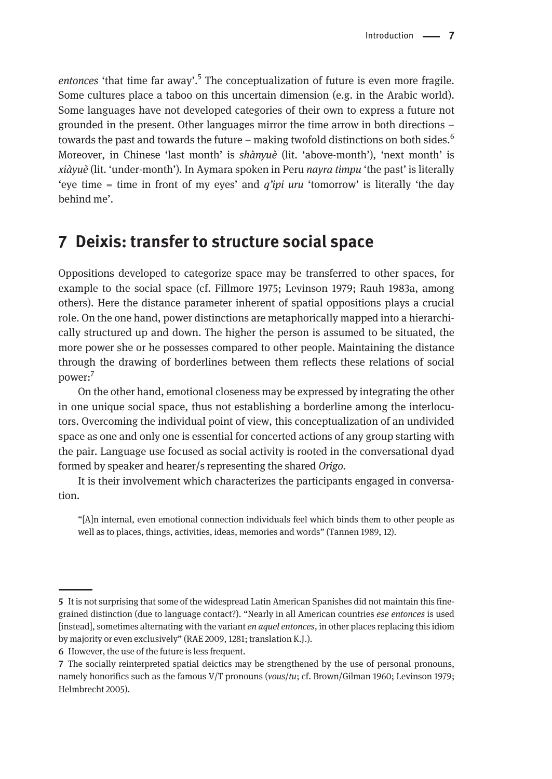entonces 'that time far away'.<sup>5</sup> The conceptualization of future is even more fragile. Some cultures place a taboo on this uncertain dimension (e.g. in the Arabic world). Some languages have not developed categories of their own to express a future not grounded in the present. Other languages mirror the time arrow in both directions – towards the past and towards the future – making twofold distinctions on both sides.<sup>6</sup> Moreover, in Chinese 'last month' is shànyuè (lit. 'above-month'), 'next month' is xiàyuè (lit. 'under-month'). In Aymara spoken in Peru nayra timpu 'the past' is literally 'eye time  $=$  time in front of my eyes' and *q'ipi uru* 'tomorrow' is literally 'the day behind me'.

#### 7 Deixis: transfer to structure social space

Oppositions developed to categorize space may be transferred to other spaces, for example to the social space (cf. Fillmore 1975; Levinson 1979; Rauh 1983a, among others). Here the distance parameter inherent of spatial oppositions plays a crucial role. On the one hand, power distinctions are metaphorically mapped into a hierarchically structured up and down. The higher the person is assumed to be situated, the more power she or he possesses compared to other people. Maintaining the distance through the drawing of borderlines between them reflects these relations of social power:7

On the other hand, emotional closeness may be expressed by integrating the other in one unique social space, thus not establishing a borderline among the interlocutors. Overcoming the individual point of view, this conceptualization of an undivided space as one and only one is essential for concerted actions of any group starting with the pair. Language use focused as social activity is rooted in the conversational dyad formed by speaker and hearer/s representing the shared Origo.

It is their involvement which characterizes the participants engaged in conversation.

"[A]n internal, even emotional connection individuals feel which binds them to other people as well as to places, things, activities, ideas, memories and words" (Tannen 1989, 12).

<sup>5</sup> It is not surprising that some of the widespread Latin American Spanishes did not maintain this finegrained distinction (due to language contact?). "Nearly in all American countries ese entonces is used [instead], sometimes alternating with the variant *en aquel entonces*, in other places replacing this idiom by majority or even exclusively" (RAE 2009, 1281; translation K.J.).

<sup>6</sup> However, the use of the future is less frequent.

<sup>7</sup> The socially reinterpreted spatial deictics may be strengthened by the use of personal pronouns, namely honorifics such as the famous V/T pronouns (vous/tu; cf. Brown/Gilman 1960; Levinson 1979; Helmbrecht 2005).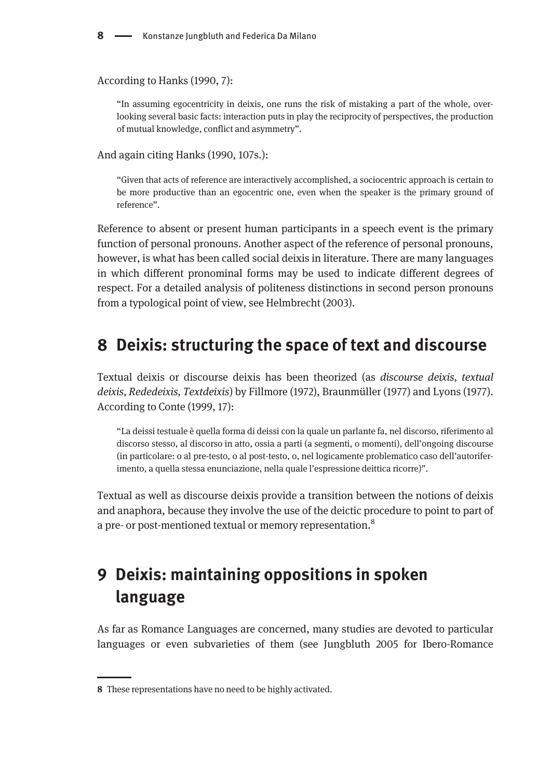According to Hanks (1990, 7):

"In assuming egocentricity in deixis, one runs the risk of mistaking a part of the whole, overlooking several basic facts: interaction puts in play the reciprocity of perspectives, the production of mutual knowledge, conflict and asymmetry".

And again citing Hanks (1990, 107s.):

"Given that acts of reference are interactively accomplished, a sociocentric approach is certain to be more productive than an egocentric one, even when the speaker is the primary ground of reference".

Reference to absent or present human participants in a speech event is the primary function of personal pronouns. Another aspect of the reference of personal pronouns, however, is what has been called social deixis in literature. There are many languages in which different pronominal forms may be used to indicate different degrees of respect. For a detailed analysis of politeness distinctions in second person pronouns from a typological point of view, see Helmbrecht (2003).

#### 8 Deixis: structuring the space of text and discourse

Textual deixis or discourse deixis has been theorized (as discourse deixis, textual deixis, Rededeixis, Textdeixis) by Fillmore (1972), Braunmüller (1977) and Lyons (1977). According to Conte (1999, 17):

"La deissi testuale è quella forma di deissi con la quale un parlante fa, nel discorso, riferimento al discorso stesso, al discorso in atto, ossia a parti (a segmenti, o momenti), dell'ongoing discourse (in particolare: o al pre-testo, o al post-testo, o, nel logicamente problematico caso dell'autoriferimento, a quella stessa enunciazione, nella quale l'espressione deittica ricorre)".

Textual as well as discourse deixis provide a transition between the notions of deixis and anaphora, because they involve the use of the deictic procedure to point to part of a pre- or post-mentioned textual or memory representation.<sup>8</sup>

# 9 Deixis: maintaining oppositions in spoken language

As far as Romance Languages are concerned, many studies are devoted to particular languages or even subvarieties of them (see Jungbluth 2005 for Ibero-Romance

<sup>8</sup> These representations have no need to be highly activated.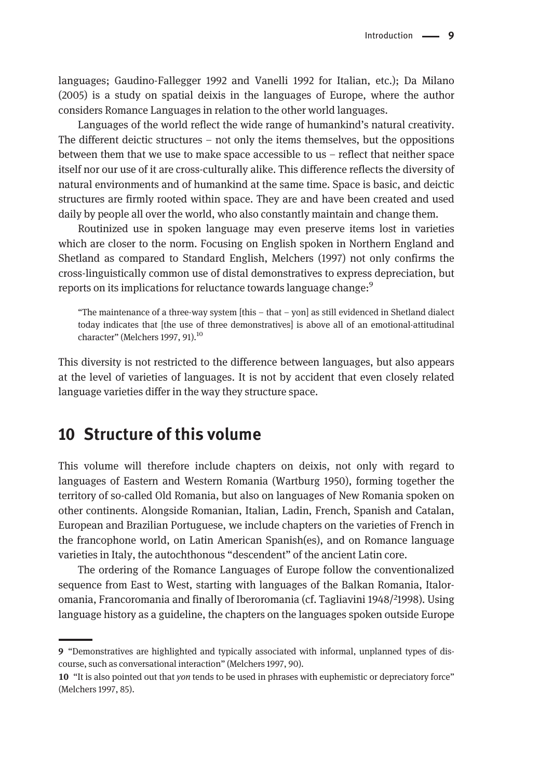languages; Gaudino-Fallegger 1992 and Vanelli 1992 for Italian, etc.); Da Milano (2005) is a study on spatial deixis in the languages of Europe, where the author considers Romance Languages in relation to the other world languages.

Languages of the world reflect the wide range of humankind's natural creativity. The different deictic structures – not only the items themselves, but the oppositions between them that we use to make space accessible to us – reflect that neither space itself nor our use of it are cross-culturally alike. This difference reflects the diversity of natural environments and of humankind at the same time. Space is basic, and deictic structures are firmly rooted within space. They are and have been created and used daily by people all over the world, who also constantly maintain and change them.

Routinized use in spoken language may even preserve items lost in varieties which are closer to the norm. Focusing on English spoken in Northern England and Shetland as compared to Standard English, Melchers (1997) not only confirms the cross-linguistically common use of distal demonstratives to express depreciation, but reports on its implications for reluctance towards language change:<sup>9</sup>

"The maintenance of a three-way system [this – that – yon] as still evidenced in Shetland dialect today indicates that [the use of three demonstratives] is above all of an emotional-attitudinal character" (Melchers 1997, 91).<sup>10</sup>

This diversity is not restricted to the difference between languages, but also appears at the level of varieties of languages. It is not by accident that even closely related language varieties differ in the way they structure space.

#### 10 Structure of this volume

This volume will therefore include chapters on deixis, not only with regard to languages of Eastern and Western Romania (Wartburg 1950), forming together the territory of so-called Old Romania, but also on languages of New Romania spoken on other continents. Alongside Romanian, Italian, Ladin, French, Spanish and Catalan, European and Brazilian Portuguese, we include chapters on the varieties of French in the francophone world, on Latin American Spanish(es), and on Romance language varieties in Italy, the autochthonous "descendent" of the ancient Latin core.

The ordering of the Romance Languages of Europe follow the conventionalized sequence from East to West, starting with languages of the Balkan Romania, Italoromania, Francoromania and finally of Iberoromania (cf. Tagliavini 1948/<sup>2</sup>1998). Using language history as a guideline, the chapters on the languages spoken outside Europe

<sup>9</sup> "Demonstratives are highlighted and typically associated with informal, unplanned types of discourse, such as conversational interaction" (Melchers 1997, 90).

<sup>10 &</sup>quot;It is also pointed out that yon tends to be used in phrases with euphemistic or depreciatory force" (Melchers 1997, 85).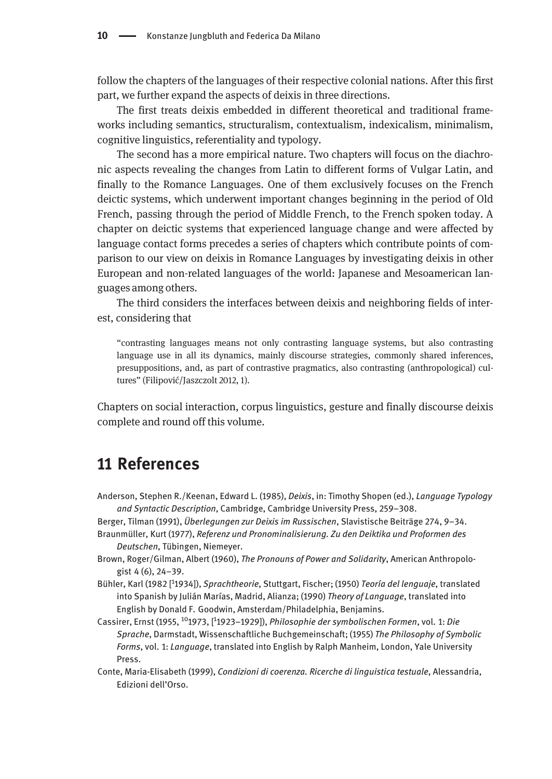follow the chapters of the languages of their respective colonial nations. After this first part, we further expand the aspects of deixis in three directions.

The first treats deixis embedded in different theoretical and traditional frameworks including semantics, structuralism, contextualism, indexicalism, minimalism, cognitive linguistics, referentiality and typology.

The second has a more empirical nature. Two chapters will focus on the diachronic aspects revealing the changes from Latin to different forms of Vulgar Latin, and finally to the Romance Languages. One of them exclusively focuses on the French deictic systems, which underwent important changes beginning in the period of Old French, passing through the period of Middle French, to the French spoken today. A chapter on deictic systems that experienced language change and were affected by language contact forms precedes a series of chapters which contribute points of comparison to our view on deixis in Romance Languages by investigating deixis in other European and non-related languages of the world: Japanese and Mesoamerican languages among others.

The third considers the interfaces between deixis and neighboring fields of interest, considering that

"contrasting languages means not only contrasting language systems, but also contrasting language use in all its dynamics, mainly discourse strategies, commonly shared inferences, presuppositions, and, as part of contrastive pragmatics, also contrasting (anthropological) cultures" (Filipović/Jaszczolt 2012, 1).

Chapters on social interaction, corpus linguistics, gesture and finally discourse deixis complete and round off this volume.

#### 11 References

- Anderson, Stephen R./Keenan, Edward L. (1985), Deixis, in: Timothy Shopen (ed.), Language Typology and Syntactic Description, Cambridge, Cambridge University Press, 259–308.
- Berger, Tilman (1991), Überlegungen zur Deixis im Russischen, Slavistische Beiträge 274, 9–34. Braunmüller, Kurt (1977), Referenz und Pronominalisierung. Zu den Deiktika und Proformen des
- Deutschen, Tübingen, Niemeyer.
- Brown, Roger/Gilman, Albert (1960), The Pronouns of Power and Solidarity, American Anthropologist 4 (6), 24–39.
- Bühler, Karl (1982 [<sup>1</sup>1934]), Sprachtheorie, Stuttgart, Fischer; (1950) Teoría del lenguaje, translated into Spanish by Julián Marías, Madrid, Alianza; (1990) Theory of Language, translated into English by Donald F. Goodwin, Amsterdam/Philadelphia, Benjamins.
- Cassirer, Ernst (1955, <sup>10</sup>1973, [<sup>1</sup>1923-1929]), Philosophie der symbolischen Formen, vol. 1: Die Sprache, Darmstadt, Wissenschaftliche Buchgemeinschaft; (1955) The Philosophy of Symbolic Forms, vol. 1: Language, translated into English by Ralph Manheim, London, Yale University Press.
- Conte, Maria-Elisabeth (1999), Condizioni di coerenza. Ricerche di linguistica testuale, Alessandria, Edizioni dell'Orso.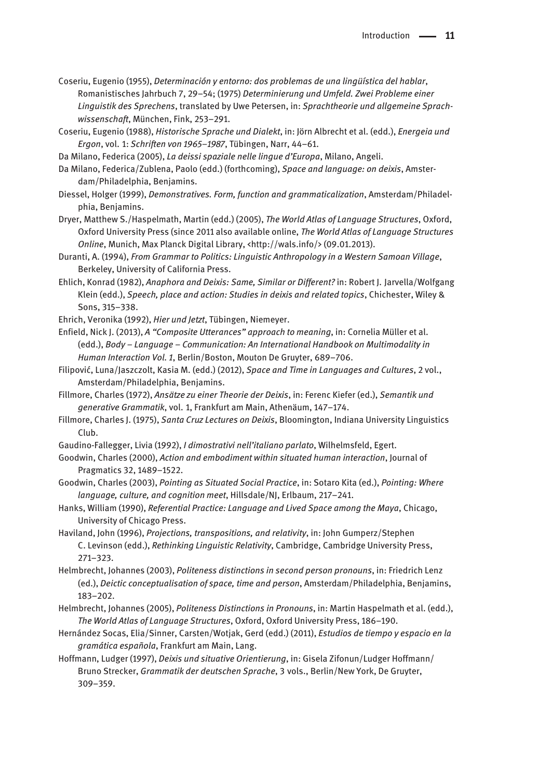Coseriu, Eugenio (1955), Determinación y entorno: dos problemas de una lingüística del hablar, Romanistisches Jahrbuch 7, 29–54; (1975) Determinierung und Umfeld. Zwei Probleme einer Linguistik des Sprechens, translated by Uwe Petersen, in: Sprachtheorie und allgemeine Sprachwissenschaft, München, Fink, 253–291.

Coseriu, Eugenio (1988), Historische Sprache und Dialekt, in: Jörn Albrecht et al. (edd.), Energeia und Ergon, vol. 1: Schriften von 1965–1987, Tübingen, Narr, 44–61.

Da Milano, Federica (2005), La deissi spaziale nelle lingue d'Europa, Milano, Angeli.

Da Milano, Federica/Zublena, Paolo (edd.) (forthcoming), Space and language: on deixis, Amsterdam/Philadelphia, Benjamins.

Diessel, Holger (1999), Demonstratives. Form, function and grammaticalization, Amsterdam/Philadelphia, Benjamins.

Dryer, Matthew S./Haspelmath, Martin (edd.) (2005), The World Atlas of Language Structures, Oxford, Oxford University Press (since 2011 also available online, The World Atlas of Language Structures Online, Munich, Max Planck Digital Library, <http://wals.info/> (09.01.2013).

Duranti, A. (1994), From Grammar to Politics: Linguistic Anthropology in a Western Samoan Village, Berkeley, University of California Press.

Ehlich, Konrad (1982), Anaphora and Deixis: Same, Similar or Different? in: Robert J. Jarvella/Wolfgang Klein (edd.), Speech, place and action: Studies in deixis and related topics, Chichester, Wiley & Sons, 315–338.

Ehrich, Veronika (1992), Hier und Jetzt, Tübingen, Niemeyer.

Enfield, Nick J. (2013), A "Composite Utterances" approach to meaning, in: Cornelia Müller et al. (edd.), Body – Language – Communication: An International Handbook on Multimodality in Human Interaction Vol. 1, Berlin/Boston, Mouton De Gruyter, 689–706.

Filipović, Luna/Jaszczolt, Kasia M. (edd.) (2012), Space and Time in Languages and Cultures, 2 vol., Amsterdam/Philadelphia, Benjamins.

Fillmore, Charles (1972), Ansätze zu einer Theorie der Deixis, in: Ferenc Kiefer (ed.), Semantik und generative Grammatik, vol. 1, Frankfurt am Main, Athenäum, 147–174.

Fillmore, Charles J. (1975), Santa Cruz Lectures on Deixis, Bloomington, Indiana University Linguistics Club.

Gaudino-Fallegger, Livia (1992), I dimostrativi nell'italiano parlato, Wilhelmsfeld, Egert.

Goodwin, Charles (2000), Action and embodiment within situated human interaction, Journal of Pragmatics 32, 1489–1522.

Goodwin, Charles (2003), Pointing as Situated Social Practice, in: Sotaro Kita (ed.), Pointing: Where language, culture, and cognition meet, Hillsdale/NJ, Erlbaum, 217–241.

Hanks, William (1990), Referential Practice: Language and Lived Space among the Maya, Chicago, University of Chicago Press.

Haviland, John (1996), Projections, transpositions, and relativity, in: John Gumperz/Stephen C. Levinson (edd.), Rethinking Linguistic Relativity, Cambridge, Cambridge University Press, 271–323.

Helmbrecht, Johannes (2003), Politeness distinctions in second person pronouns, in: Friedrich Lenz (ed.), Deictic conceptualisation of space, time and person, Amsterdam/Philadelphia, Benjamins, 183–202.

Helmbrecht, Johannes (2005), Politeness Distinctions in Pronouns, in: Martin Haspelmath et al. (edd.), The World Atlas of Language Structures, Oxford, Oxford University Press, 186–190.

Hernández Socas, Elia/Sinner, Carsten/Wotjak, Gerd (edd.) (2011), Estudios de tiempo y espacio en la gramática española, Frankfurt am Main, Lang.

Hoffmann, Ludger (1997), Deixis und situative Orientierung, in: Gisela Zifonun/Ludger Hoffmann/ Bruno Strecker, Grammatik der deutschen Sprache, 3 vols., Berlin/New York, De Gruyter, 309–359.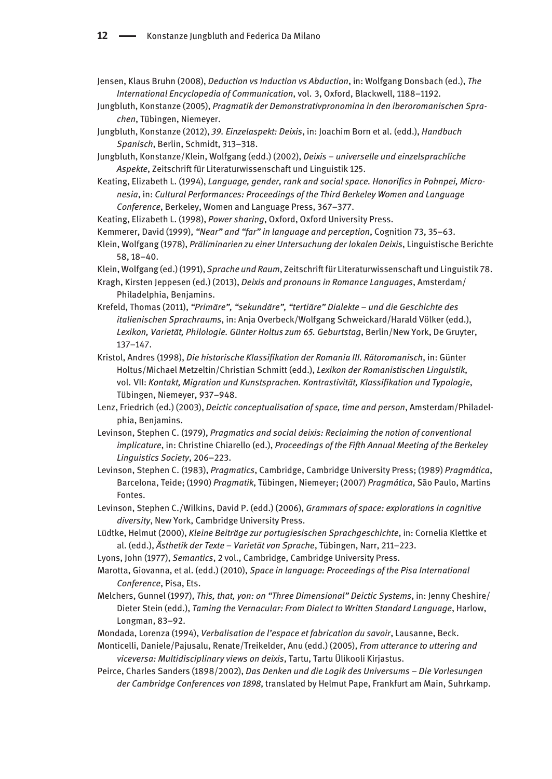Jensen, Klaus Bruhn (2008), Deduction vs Induction vs Abduction, in: Wolfgang Donsbach (ed.), The International Encyclopedia of Communication, vol. 3, Oxford, Blackwell, 1188–1192.

- Jungbluth, Konstanze (2005), Pragmatik der Demonstrativpronomina in den iberoromanischen Sprachen, Tübingen, Niemeyer.
- Jungbluth, Konstanze (2012), 39. Einzelaspekt: Deixis, in: Joachim Born et al. (edd.), Handbuch Spanisch, Berlin, Schmidt, 313–318.

Jungbluth, Konstanze/Klein, Wolfgang (edd.) (2002), Deixis – universelle und einzelsprachliche Aspekte, Zeitschrift für Literaturwissenschaft und Linguistik 125.

Keating, Elizabeth L. (1994), Language, gender, rank and social space. Honorifics in Pohnpei, Micronesia, in: Cultural Performances: Proceedings of the Third Berkeley Women and Language Conference, Berkeley, Women and Language Press, 367–377.

Keating, Elizabeth L. (1998), Power sharing, Oxford, Oxford University Press.

Kemmerer, David (1999), "Near" and "far" in language and perception, Cognition 73, 35–63.

Klein, Wolfgang (1978), Präliminarien zu einer Untersuchung der lokalen Deixis, Linguistische Berichte 58, 18–40.

Klein, Wolfgang (ed.) (1991), Sprache und Raum, Zeitschrift für Literaturwissenschaft und Linguistik 78.

- Kragh, Kirsten Jeppesen (ed.) (2013), Deixis and pronouns in Romance Languages, Amsterdam/ Philadelphia, Benjamins.
- Krefeld, Thomas (2011), "Primäre", "sekundäre", "tertiäre" Dialekte und die Geschichte des italienischen Sprachraums, in: Anja Overbeck/Wolfgang Schweickard/Harald Völker (edd.), Lexikon, Varietät, Philologie. Günter Holtus zum 65. Geburtstag, Berlin/New York, De Gruyter, 137–147.
- Kristol, Andres (1998), Die historische Klassifikation der Romania III. Rätoromanisch, in: Günter Holtus/Michael Metzeltin/Christian Schmitt (edd.), Lexikon der Romanistischen Linguistik, vol. VII: Kontakt, Migration und Kunstsprachen. Kontrastivität, Klassifikation und Typologie, Tübingen, Niemeyer, 937–948.
- Lenz, Friedrich (ed.) (2003), Deictic conceptualisation of space, time and person, Amsterdam/Philadelphia, Benjamins.
- Levinson, Stephen C. (1979), Pragmatics and social deixis: Reclaiming the notion of conventional implicature, in: Christine Chiarello (ed.), Proceedings of the Fifth Annual Meeting of the Berkeley Linguistics Society, 206–223.
- Levinson, Stephen C. (1983), Pragmatics, Cambridge, Cambridge University Press; (1989) Pragmática, Barcelona, Teide; (1990) Pragmatik, Tübingen, Niemeyer; (2007) Pragmática, São Paulo, Martins Fontes.
- Levinson, Stephen C./Wilkins, David P. (edd.) (2006), Grammars of space: explorations in cognitive diversity, New York, Cambridge University Press.
- Lüdtke, Helmut (2000), Kleine Beiträge zur portugiesischen Sprachgeschichte, in: Cornelia Klettke et al. (edd.), Ästhetik der Texte – Varietät von Sprache, Tübingen, Narr, 211–223.
- Lyons, John (1977), Semantics, 2 vol., Cambridge, Cambridge University Press.
- Marotta, Giovanna, et al. (edd.) (2010), Space in language: Proceedings of the Pisa International Conference, Pisa, Ets.
- Melchers, Gunnel (1997), This, that, yon: on "Three Dimensional" Deictic Systems, in: Jenny Cheshire/ Dieter Stein (edd.), Taming the Vernacular: From Dialect to Written Standard Language, Harlow, Longman, 83–92.
- Mondada, Lorenza (1994), Verbalisation de l'espace et fabrication du savoir, Lausanne, Beck.
- Monticelli, Daniele/Pajusalu, Renate/Treikelder, Anu (edd.) (2005), From utterance to uttering and viceversa: Multidisciplinary views on deixis, Tartu, Tartu Ülikooli Kirjastus.
- Peirce, Charles Sanders (1898/2002), Das Denken und die Logik des Universums Die Vorlesungen der Cambridge Conferences von 1898, translated by Helmut Pape, Frankfurt am Main, Suhrkamp.